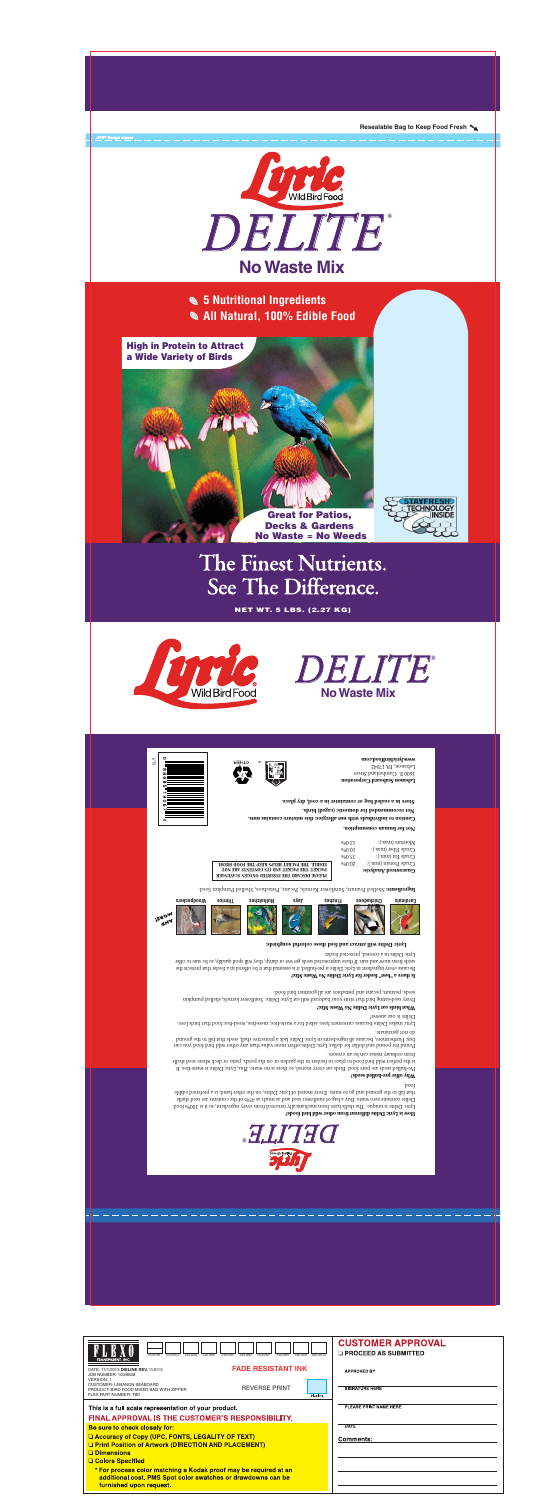

**5 Nutritional Ingredients All Natural, 100% Edible Food**

High in Protein to Attract a Wide Variety of Birds

.375" flange zipper

Great for Patios, Decks & Gardens No Waste = No Weeds



# The Finest Nutrients. See The Difference.

NET WT. 5 LBS. (2.27 KG)